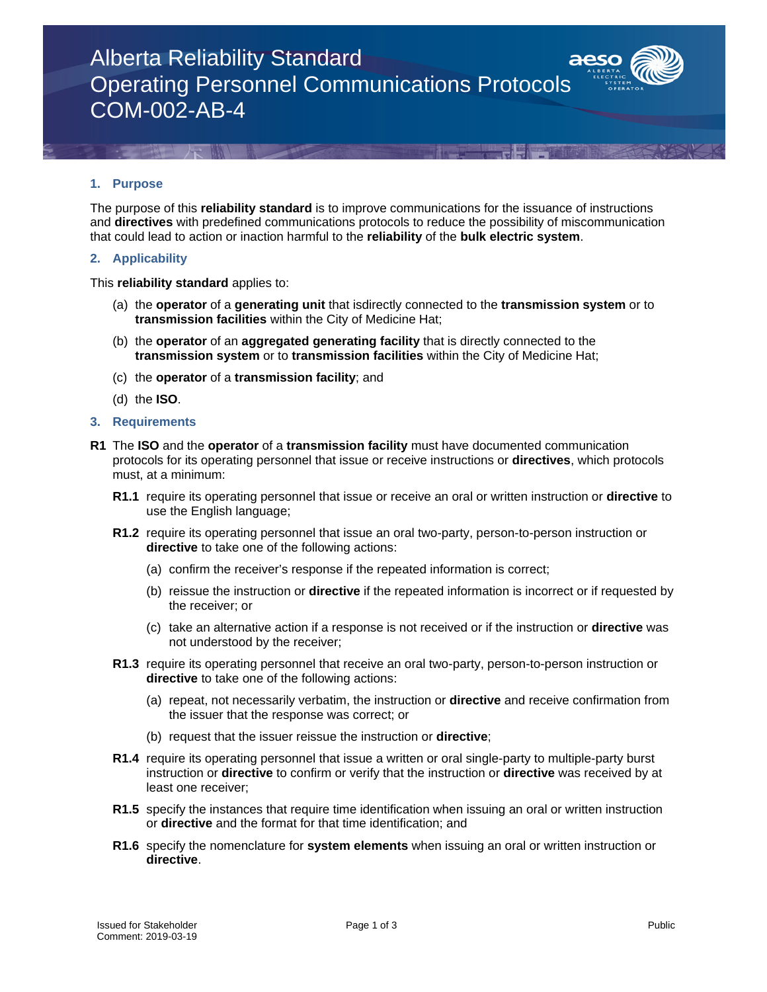### Alberta Reliability Standard Operating Personnel Communications Protocols COM-002-AB-4

### **1. Purpose**

The purpose of this **reliability standard** is to improve communications for the issuance of instructions and **directives** with predefined communications protocols to reduce the possibility of miscommunication that could lead to action or inaction harmful to the **reliability** of the **bulk electric system**.

### **2. Applicability**

This **reliability standard** applies to:

- (a) the **operator** of a **generating unit** that isdirectly connected to the **transmission system** or to **transmission facilities** within the City of Medicine Hat;
- (b) the **operator** of an **aggregated generating facility** that is directly connected to the **transmission system** or to **transmission facilities** within the City of Medicine Hat;
- (c) the **operator** of a **transmission facility**; and
- (d) the **ISO**.

### **3. Requirements**

- **R1** The **ISO** and the **operator** of a **transmission facility** must have documented communication protocols for its operating personnel that issue or receive instructions or **directives**, which protocols must, at a minimum:
	- **R1.1** require its operating personnel that issue or receive an oral or written instruction or **directive** to use the English language;
	- **R1.2** require its operating personnel that issue an oral two-party, person-to-person instruction or **directive** to take one of the following actions:
		- (a) confirm the receiver's response if the repeated information is correct;
		- (b) reissue the instruction or **directive** if the repeated information is incorrect or if requested by the receiver; or
		- (c) take an alternative action if a response is not received or if the instruction or **directive** was not understood by the receiver;
	- **R1.3** require its operating personnel that receive an oral two-party, person-to-person instruction or **directive** to take one of the following actions:
		- (a) repeat, not necessarily verbatim, the instruction or **directive** and receive confirmation from the issuer that the response was correct; or
		- (b) request that the issuer reissue the instruction or **directive**;
	- **R1.4** require its operating personnel that issue a written or oral single-party to multiple-party burst instruction or **directive** to confirm or verify that the instruction or **directive** was received by at least one receiver;
	- **R1.5** specify the instances that require time identification when issuing an oral or written instruction or **directive** and the format for that time identification; and
	- **R1.6** specify the nomenclature for **system elements** when issuing an oral or written instruction or **directive**.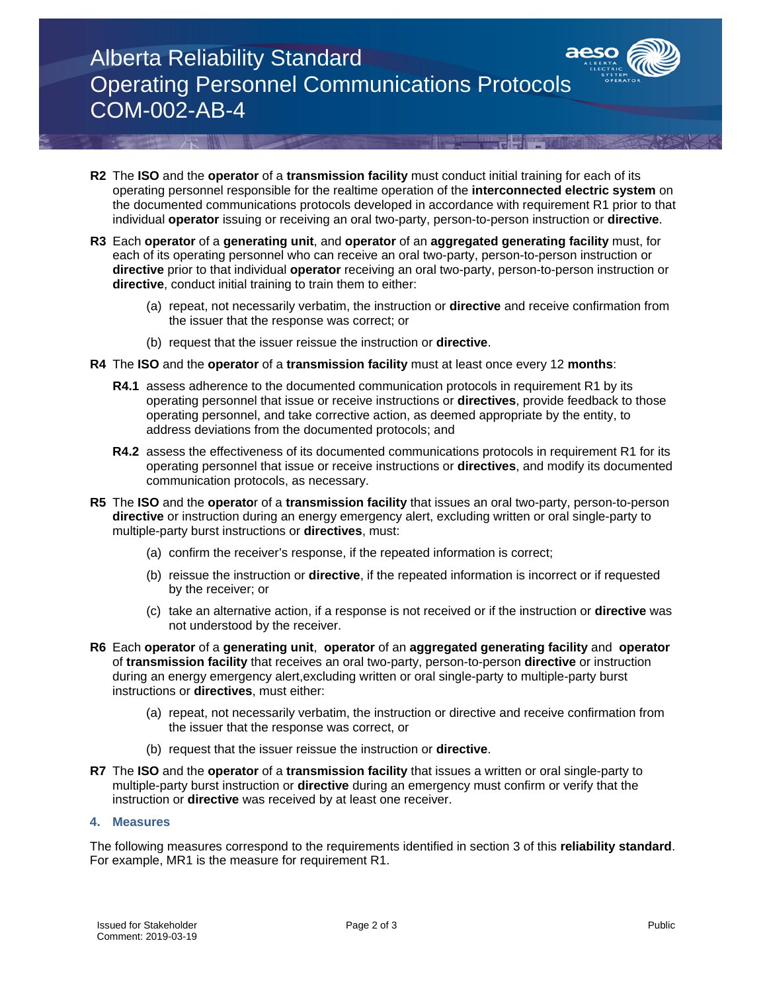# Alberta Reliability Standard Operating Personnel Communications Protocols COM-002-AB-4

- **R2** The **ISO** and the **operator** of a **transmission facility** must conduct initial training for each of its operating personnel responsible for the realtime operation of the **interconnected electric system** on the documented communications protocols developed in accordance with requirement R1 prior to that individual **operator** issuing or receiving an oral two-party, person-to-person instruction or **directive**.
- **R3** Each **operator** of a **generating unit**, and **operator** of an **aggregated generating facility** must, for each of its operating personnel who can receive an oral two-party, person-to-person instruction or **directive** prior to that individual **operator** receiving an oral two-party, person-to-person instruction or **directive**, conduct initial training to train them to either:
	- (a) repeat, not necessarily verbatim, the instruction or **directive** and receive confirmation from the issuer that the response was correct; or
	- (b) request that the issuer reissue the instruction or **directive**.
- **R4** The **ISO** and the **operator** of a **transmission facility** must at least once every 12 **months**:
	- **R4.1** assess adherence to the documented communication protocols in requirement R1 by its operating personnel that issue or receive instructions or **directives**, provide feedback to those operating personnel, and take corrective action, as deemed appropriate by the entity, to address deviations from the documented protocols; and
	- **R4.2** assess the effectiveness of its documented communications protocols in requirement R1 for its operating personnel that issue or receive instructions or **directives**, and modify its documented communication protocols, as necessary.
- **R5** The **ISO** and the **operato**r of a **transmission facility** that issues an oral two-party, person-to-person **directive** or instruction during an energy emergency alert, excluding written or oral single-party to multiple-party burst instructions or **directives**, must:
	- (a) confirm the receiver's response, if the repeated information is correct;
	- (b) reissue the instruction or **directive**, if the repeated information is incorrect or if requested by the receiver; or
	- (c) take an alternative action, if a response is not received or if the instruction or **directive** was not understood by the receiver.
- **R6** Each **operator** of a **generating unit**, **operator** of an **aggregated generating facility** and **operator**  of **transmission facility** that receives an oral two-party, person-to-person **directive** or instruction during an energy emergency alert,excluding written or oral single-party to multiple-party burst instructions or **directives**, must either:
	- (a) repeat, not necessarily verbatim, the instruction or directive and receive confirmation from the issuer that the response was correct, or
	- (b) request that the issuer reissue the instruction or **directive**.
- **R7** The **ISO** and the **operator** of a **transmission facility** that issues a written or oral single-party to multiple-party burst instruction or **directive** during an emergency must confirm or verify that the instruction or **directive** was received by at least one receiver.

### **4. Measures**

The following measures correspond to the requirements identified in section 3 of this **reliability standard**. For example, MR1 is the measure for requirement R1.